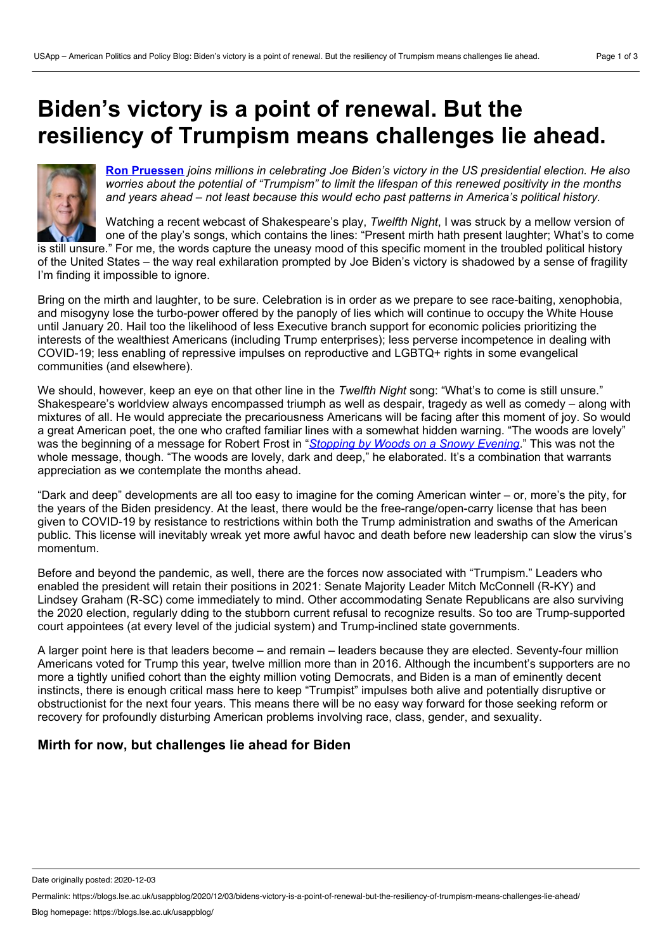# **Biden's victory is a point of renewal. But the resiliency of Trumpism means challenges lie ahead.**



**Ron [Pruessen](https://wp.me/p3I2YF-ayp#Author)** *joins millions in celebrating Joe Biden's victory in the US presidential election. He also worries about the potential of "Trumpism" to limit the lifespan of this renewed positivity in the months and years ahead – not least because this would echo past patterns in America's political history.*

Watching a recent webcast of Shakespeare's play, *Twelfth Night*, I was struck by a mellow version of one of the play's songs, which contains the lines: "Present mirth hath present laughter; What's to come

is still unsure." For me, the words capture the uneasy mood of this specific moment in the troubled political history of the United States – the way real exhilaration prompted by Joe Biden's victory is shadowed by a sense of fragility I'm finding it impossible to ignore.

Bring on the mirth and laughter, to be sure. Celebration is in order as we prepare to see race-baiting, xenophobia, and misogyny lose the turbo-power offered by the panoply of lies which will continue to occupy the White House until January 20. Hail too the likelihood of less Executive branch support for economic policies prioritizing the interests of the wealthiest Americans (including Trump enterprises); less perverse incompetence in dealing with COVID-19; less enabling of repressive impulses on reproductive and LGBTQ+ rights in some evangelical communities (and elsewhere).

We should, however, keep an eye on that other line in the *Twelfth Night* song: "What's to come is still unsure." Shakespeare's worldview always encompassed triumph as well as despair, tragedy as well as comedy – along with mixtures of all. He would appreciate the precariousness Americans will be facing after this moment of joy. So would a great American poet, the one who crafted familiar lines with a somewhat hidden warning. "The woods are lovely" was the beginning of a message for Robert Frost in "*[Stopping](https://www.poetryfoundation.org/poems/42891/stopping-by-woods-on-a-snowy-evening) by Woods on a Snowy Evening*." This was not the whole message, though. "The woods are lovely, dark and deep," he elaborated. It's a combination that warrants appreciation as we contemplate the months ahead.

"Dark and deep" developments are all too easy to imagine for the coming American winter – or, more's the pity, for the years of the Biden presidency. At the least, there would be the free-range/open-carry license that has been given to COVID-19 by resistance to restrictions within both the Trump administration and swaths of the American public. This license will inevitably wreak yet more awful havoc and death before new leadership can slow the virus's momentum.

Before and beyond the pandemic, as well, there are the forces now associated with "Trumpism." Leaders who enabled the president will retain their positions in 2021: Senate Majority Leader Mitch McConnell (R-KY) and Lindsey Graham (R-SC) come immediately to mind. Other accommodating Senate Republicans are also surviving the 2020 election, regularly dding to the stubborn current refusal to recognize results. So too are Trump-supported court appointees (at every level of the judicial system) and Trump-inclined state governments.

A larger point here is that leaders become – and remain – leaders because they are elected. Seventy-four million Americans voted for Trump this year, twelve million more than in 2016. Although the incumbent's supporters are no more a tightly unified cohort than the eighty million voting Democrats, and Biden is a man of eminently decent instincts, there is enough critical mass here to keep "Trumpist" impulses both alive and potentially disruptive or obstructionist for the next four years. This means there will be no easy way forward for those seeking reform or recovery for profoundly disturbing American problems involving race, class, gender, and sexuality.

# **Mirth for now, but challenges lie ahead for Biden**

Date originally posted: 2020-12-03

Permalink: https://blogs.lse.ac.uk/usappblog/2020/12/03/bidens-victory-is-a-point-of-renewal-but-the-resiliency-of-trumpism-means-challenges-lie-ahead/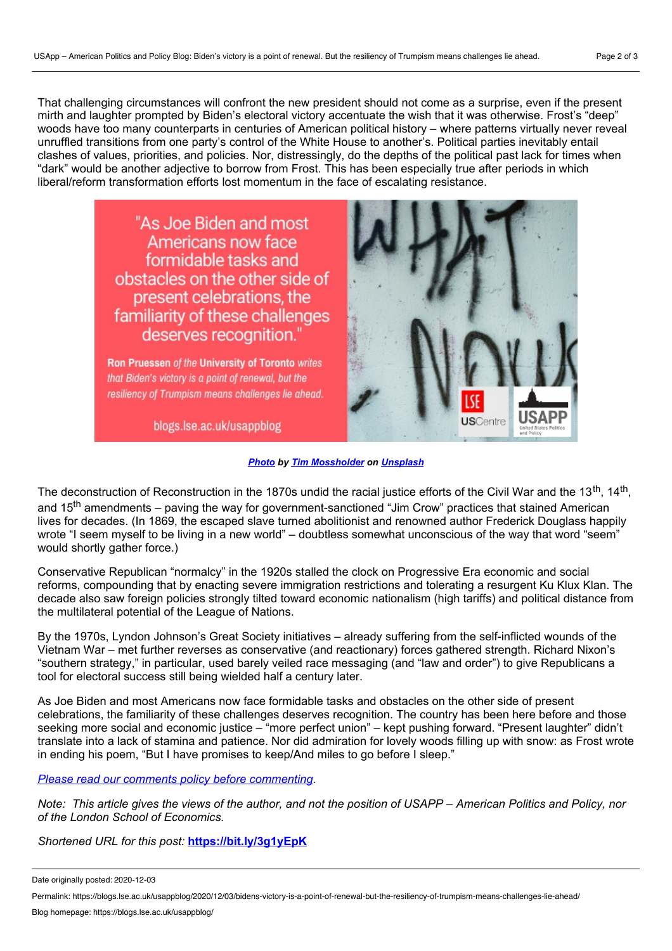That challenging circumstances will confront the new president should not come as a surprise, even if the present mirth and laughter prompted by Biden's electoral victory accentuate the wish that it was otherwise. Frost's "deep" woods have too many counterparts in centuries of American political history – where patterns virtually never reveal unruffled transitions from one party's control of the White House to another's. Political parties inevitably entail clashes of values, priorities, and policies. Nor, distressingly, do the depths of the political past lack for times when "dark" would be another adjective to borrow from Frost. This has been especially true after periods in which liberal/reform transformation efforts lost momentum in the face of escalating resistance.



*[Photo](https://unsplash.com/photos/DZcZ4Kskq6U) by Tim [Mossholder](https://unsplash.com/@timmossholder?utm_source=unsplash&utm_medium=referral&utm_content=creditCopyText) on [Unsplash](https://unsplash.com/?utm_source=unsplash&utm_medium=referral&utm_content=creditCopyText)*

The deconstruction of Reconstruction in the 1870s undid the racial justice efforts of the Civil War and the 13<sup>th</sup>, 14<sup>th</sup>, and 15<sup>th</sup> amendments – paving the way for government-sanctioned "Jim Crow" practices that stained American lives for decades. (In 1869, the escaped slave turned abolitionist and renowned author Frederick Douglass happily wrote "Iseem myself to be living in a new world" – doubtless somewhat unconscious of the way that word "seem" would shortly gather force.)

Conservative Republican "normalcy" in the 1920s stalled the clock on Progressive Era economic and social reforms, compounding that by enacting severe immigration restrictions and tolerating a resurgent Ku Klux Klan. The decade also saw foreign policies strongly tilted toward economic nationalism (high tariffs) and political distance from the multilateral potential of the League of Nations.

By the 1970s, Lyndon Johnson's Great Society initiatives – already suffering from the self-inflicted wounds of the Vietnam War – met further reverses as conservative (and reactionary) forces gathered strength. Richard Nixon's "southern strategy," in particular, used barely veiled race messaging (and "law and order") to give Republicans a tool for electoral success still being wielded half a century later.

As Joe Biden and most Americans now face formidable tasks and obstacles on the other side of present celebrations, the familiarity of these challenges deserves recognition. The country has been here before and those seeking more social and economic justice – "more perfect union" – kept pushing forward. "Present laughter" didn't translate into a lack of stamina and patience. Nor did admiration for lovely woods filling up with snow: as Frost wrote in ending his poem, "But I have promises to keep/And miles to go before I sleep."

### *Please read our comments policy before [commenting](http://blogs.lse.ac.uk/usappblog/comments-policy/)*.

Note: This article gives the views of the author, and not the position of USAPP – American Politics and Policy, nor *of the London School of Economics.*

*Shortened URL for this post:* **<https://bit.ly/3g1yEpK>**

Date originally posted: 2020-12-03

Permalink: https://blogs.lse.ac.uk/usappblog/2020/12/03/bidens-victory-is-a-point-of-renewal-but-the-resiliency-of-trumpism-means-challenges-lie-ahead/